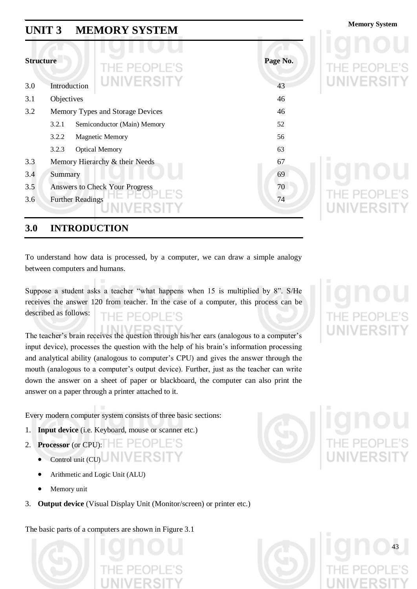## **Memory System Memory System**

| <b>Structure</b> | THE PEOPLE'S                          | Page No. |
|------------------|---------------------------------------|----------|
| 3.0              | <b>UNIVERSITY</b><br>Introduction     | 43       |
| 3.1              | Objectives                            | 46       |
| 3.2              | Memory Types and Storage Devices      | 46       |
|                  | 3.2.1<br>Semiconductor (Main) Memory  | 52       |
|                  | 3.2.2<br><b>Magnetic Memory</b>       | 56       |
|                  | 3.2.3<br><b>Optical Memory</b>        | 63       |
| 3.3              | Memory Hierarchy & their Needs        | 67       |
| 3.4              | Summary                               | 69       |
| 3.5              | <b>Answers to Check Your Progress</b> | 70       |
| 3.6              | <b>Further Readings</b>               | 74       |

### **3.0 INTRODUCTION**

To understand how data is processed, by a computer, we can draw a simple analogy between computers and humans.

Suppose a student asks a teacher "what happens when 15 is multiplied by 8". S/He receives the answer 120 from teacher. In the case of a computer, this process can be described as follows:

The teacher's brain receives the question through his/her ears (analogous to a computer's input device), processes the question with the help of his brain"s information processing and analytical ability (analogous to computer's CPU) and gives the answer through the mouth (analogous to a computer"s output device). Further, just as the teacher can write down the answer on a sheet of paper or blackboard, the computer can also print the answer on a paper through a printer attached to it.

Every modern computer system consists of three basic sections:

- 1. **Input device** (i.e. Keyboard, mouse or scanner etc.)
- 2. **Processor** (or CPU):
	- Control unit (CU) NVERSI
	- Arithmetic and Logic Unit (ALU)
	- Memory unit
- 3. **Output device** (Visual Display Unit (Monitor/screen) or printer etc.)

The basic parts of a computers are shown in Figure 3.1







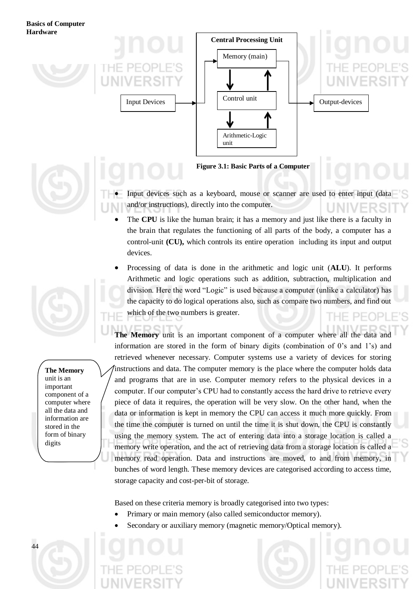



- Input devices such as a keyboard, mouse or scanner are used to enter input (data and/or instructions), directly into the computer.
- The **CPU** is like the human brain; it has a memory and just like there is a faculty in the brain that regulates the functioning of all parts of the body, a computer has a control-unit **(CU),** which controls its entire operation including its input and output devices.
- Processing of data is done in the arithmetic and logic unit (**ALU**). It performs Arithmetic and logic operations such as addition, subtraction, multiplication and division. Here the word "Logic" is used because a computer (unlike a calculator) has the capacity to do logical operations also, such as compare two numbers, and find out which of the two numbers is greater.  $P-F($  $P$

**The Memory** unit is an important component of a computer where all the data and information are stored in the form of binary digits (combination of 0"s and 1"s) and retrieved whenever necessary. Computer systems use a variety of devices for storing instructions and data. The computer memory is the place where the computer holds data and programs that are in use. Computer memory refers to the physical devices in a computer. If our computer"s CPU had to constantly access the hard drive to retrieve every piece of data it requires, the operation will be very slow. On the other hand, when the data or information is kept in memory the CPU can access it much more quickly. From the time the computer is turned on until the time it is shut down, the CPU is constantly using the memory system. The act of entering data into a storage location is called a memory write operation, and the act of retrieving data from a storage location is called a memory read operation. Data and instructions are moved, to and from memory, in bunches of word length. These memory devices are categorised according to access time, storage capacity and cost-per-bit of storage.

Based on these criteria memory is broadly categorised into two types:

- Primary or main memory (also called semiconductor memory).
- Secondary or auxiliary memory (magnetic memory/Optical memory).



**The Memory** unit is an important component of a computer where all the data and information are stored in the form of binary

digits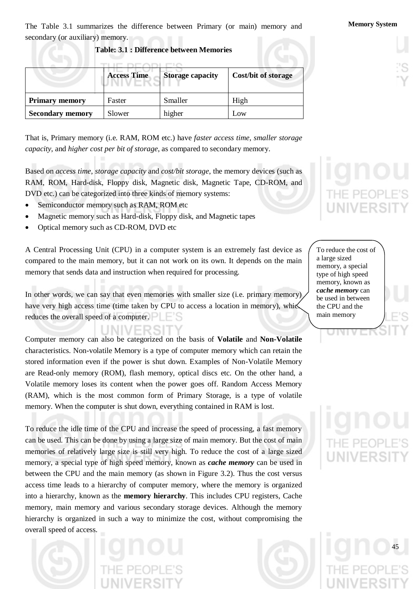The Table 3.1 summarizes the difference between Primary (or main) memory and **Memory System** secondary (or auxiliary) memory.

#### **Table: 3.1 : Difference between Memories**

|                         | <b>Access Time</b> | <b>Storage capacity</b> | <b>Cost/bit of storage</b> |
|-------------------------|--------------------|-------------------------|----------------------------|
| <b>Primary memory</b>   | Faster             | Smaller                 | High                       |
| <b>Secondary memory</b> | Slower             | higher                  | L <sub>0</sub> W           |

That is, Primary memory (i.e. RAM, ROM etc.) have *faster access time*, *smaller storage capacity*, and *higher cost per bit of storage*, as compared to secondary memory.

Based on *access time*, *storage capacity* and *cost/bit storage*, the memory devices (such as RAM, ROM, Hard-disk, Floppy disk, Magnetic disk, Magnetic Tape, CD-ROM, and DVD etc.) can be categorized into three kinds of memory systems:

- Semiconductor memory such as RAM, ROM etc
- Magnetic memory such as Hard-disk, Floppy disk, and Magnetic tapes
- Optical memory such as CD-ROM, DVD etc

A Central Processing Unit (CPU) in a computer system is an extremely fast device as compared to the main memory, but it can not work on its own. It depends on the main memory that sends data and instruction when required for processing.

In other words, we can say that even memories with smaller size (i.e. primary memory) have very high access time (time taken by CPU to access a location in memory), which reduces the overall speed of a computer.

Computer memory can also be categorized on the basis of **Volatile** and **Non-Volatile** characteristics. Non-volatile Memory is a type of computer memory which can retain the stored information even if the power is shut down. Examples of Non-Volatile Memory are Read-only memory (ROM), flash memory, optical discs etc. On the other hand, a Volatile memory loses its content when the power goes off. Random Access Memory (RAM), which is the most common form of Primary Storage, is a type of volatile memory. When the computer is shut down, everything contained in RAM is lost.

To reduce the idle time of the CPU and increase the speed of processing, a fast memory can be used. This can be done by using a large size of main memory. But the cost of main memories of relatively large size is still very high. To reduce the cost of a large sized memory, a special type of high speed memory, known as *cache memory* can be used in between the CPU and the main memory (as shown in Figure 3.2). Thus the cost versus access time leads to a hierarchy of computer memory, where the memory is organized into a hierarchy, known as the **memory hierarchy**. This includes CPU registers, Cache memory, main memory and various secondary storage devices. Although the memory hierarchy is organized in such a way to minimize the cost, without compromising the overall speed of access.



To reduce the cost of a large sized memory, a special type of high speed memory, known as *cache memory* can be used in between the CPU and the main memory

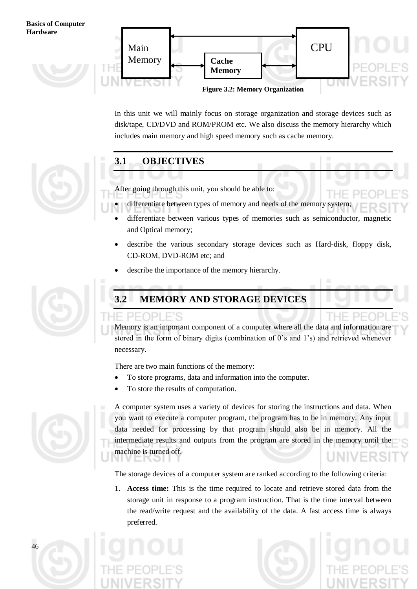

In this unit we will mainly focus on storage organization and storage devices such as disk/tape, CD/DVD and ROM/PROM etc. We also discuss the memory hierarchy which includes main memory and high speed memory such as cache memory.



### **3.1 OBJECTIVES**

After going through this unit, you should be able to:

- differentiate between types of memory and needs of the memory system;
- differentiate between various types of memories such as semiconductor, magnetic and Optical memory;
- describe the various secondary storage devices such as Hard-disk, floppy disk, CD-ROM, DVD-ROM etc; and
- describe the importance of the memory hierarchy.



### **3.2 MEMORY AND STORAGE DEVICES**

Memory is an important component of a computer where all the data and information are stored in the form of binary digits (combination of 0"s and 1"s) and retrieved whenever necessary.

There are two main functions of the memory:

- To store programs, data and information into the computer.
- To store the results of computation.



A computer system uses a variety of devices for storing the instructions and data. When you want to execute a computer program, the program has to be in memory. Any input data needed for processing by that program should also be in memory. All the intermediate results and outputs from the program are stored in the memory until the machine is turned off.

The storage devices of a computer system are ranked according to the following criteria:

1. **Access time:** This is the time required to locate and retrieve stored data from the storage unit in response to a program instruction. That is the time interval between the read/write request and the availability of the data. A fast access time is always preferred.





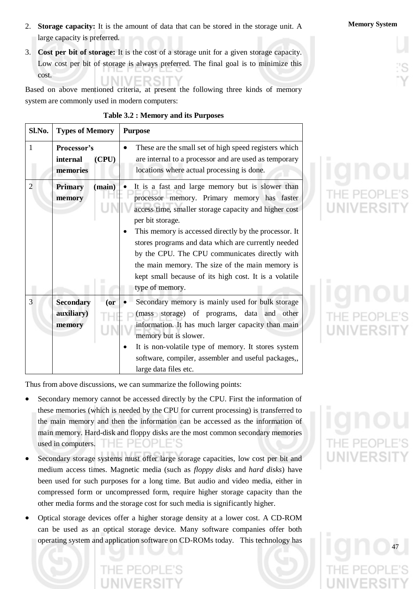- 2. **Storage capacity:** It is the amount of data that can be stored in the storage unit. A **Memory System** large capacity is preferred.
- 3. **Cost per bit of storage:** It is the cost of a storage unit for a given storage capacity. Low cost per bit of storage is always preferred. The final goal is to minimize this cost.

Based on above mentioned criteria, at present the following three kinds of memory system are commonly used in modern computers:

| Sl.No.         | <b>Types of Memory</b>                             | <b>Purpose</b>                                                                                                                                                                                                                                                                                                                                                                                                                                                                             |
|----------------|----------------------------------------------------|--------------------------------------------------------------------------------------------------------------------------------------------------------------------------------------------------------------------------------------------------------------------------------------------------------------------------------------------------------------------------------------------------------------------------------------------------------------------------------------------|
| $\mathbf{1}$   | Processor's<br>internal<br>(CPU)<br>memories       | These are the small set of high speed registers which<br>are internal to a processor and are used as temporary<br>locations where actual processing is done.                                                                                                                                                                                                                                                                                                                               |
| $\overline{2}$ | <b>Primary</b><br>(main)<br>memory                 | It is a fast and large memory but is slower than<br>processor memory. Primary memory has faster<br>access time, smaller storage capacity and higher cost<br>per bit storage.<br>This memory is accessed directly by the processor. It<br>$\bullet$<br>stores programs and data which are currently needed<br>by the CPU. The CPU communicates directly with<br>the main memory. The size of the main memory is<br>kept small because of its high cost. It is a volatile<br>type of memory. |
| 3              | <b>Secondary</b><br>$($ or<br>auxiliary)<br>memory | Secondary memory is mainly used for bulk storage<br>(mass storage) of programs, data and other<br>information. It has much larger capacity than main<br>memory but is slower.<br>It is non-volatile type of memory. It stores system<br>٠<br>software, compiler, assembler and useful packages,,<br>large data files etc.                                                                                                                                                                  |

### **Table 3.2 : Memory and its Purposes**

Thus from above discussions, we can summarize the following points:

- Secondary memory cannot be accessed directly by the CPU. First the information of these memories (which is needed by the CPU for current processing) is transferred to the main memory and then the information can be accessed as the information of main memory. Hard-disk and floppy disks are the most common secondary memories used in computers.  $\Box$   $\Box$   $\Box$   $\Box$   $\Box$   $\Box$   $\Box$
- Secondary storage systems must offer large storage capacities, low cost per bit and medium access times. Magnetic media (such as *floppy disks* and *hard disks*) have been used for such purposes for a long time. But audio and video media, either in compressed form or uncompressed form, require higher storage capacity than the other media forms and the storage cost for such media is significantly higher.
- Optical storage devices offer a higher storage density at a lower cost. A CD-ROM can be used as an optical storage device. Many software companies offer both operating system and application software on CD-ROMs today. This technology has

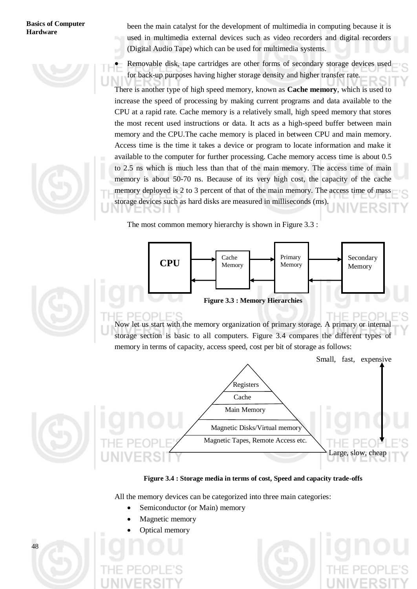

been the main catalyst for the development of multimedia in computing because it is used in multimedia external devices such as video recorders and digital recorders (Digital Audio Tape) which can be used for multimedia systems.

 Removable disk, tape cartridges are other forms of secondary storage devices used for back-up purposes having higher storage density and higher transfer rate.

There is another type of high speed memory, known as **Cache memory**, which is used to increase the speed of processing by making current programs and data available to the CPU at a rapid rate. Cache memory is a relatively small, high speed memory that stores the most recent used instructions or data. It acts as a high-speed buffer between main memory and the CPU.The cache memory is placed in between CPU and main memory. Access time is the time it takes a device or program to locate information and make it available to the computer for further processing. Cache memory access time is about 0.5 to 2.5 ns which is much less than that of the main memory. The access time of main memory is about 50-70 ns. Because of its very high cost, the capacity of the cache memory deployed is 2 to 3 percent of that of the main memory. The access time of mass storage devices such as hard disks are measured in milliseconds (ms).

The most common memory hierarchy is shown in Figure 3.3 :





Now let us start with the memory organization of primary storage. A primary or internal storage section is basic to all computers. Figure 3.4 compares the different types of memory in terms of capacity, access speed, cost per bit of storage as follows:



#### **Figure 3.4 : Storage media in terms of cost, Speed and capacity trade-offs**

All the memory devices can be categorized into three main categories:

- Semiconductor (or Main) memory
- Magnetic memory

וסר

Optical memory

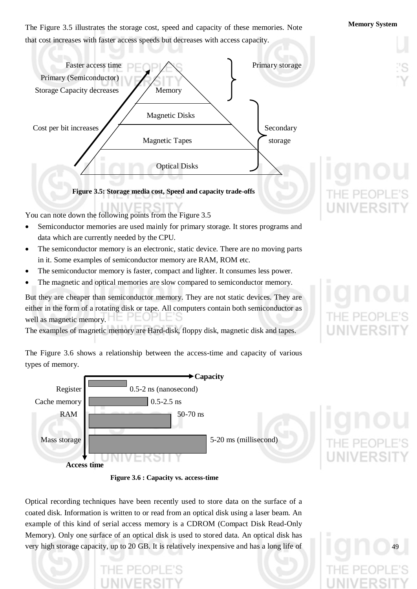**Memory System** The Figure 3.5 illustrates the storage cost, speed and capacity of these memories. Note that cost increases with faster access speeds but decreases with access capacity.



You can note down the following points from the Figure 3.5

- Semiconductor memories are used mainly for primary storage. It stores programs and data which are currently needed by the CPU.
- The semiconductor memory is an electronic, static device. There are no moving parts in it. Some examples of semiconductor memory are RAM, ROM etc.
- The semiconductor memory is faster, compact and lighter. It consumes less power.
- The magnetic and optical memories are slow compared to semiconductor memory.

But they are cheaper than semiconductor memory. They are not static devices. They are either in the form of a rotating disk or tape. All computers contain both semiconductor as well as magnetic memory.

The examples of magnetic memory are Hard-disk, floppy disk, magnetic disk and tapes.

The Figure 3.6 shows a relationship between the access-time and capacity of various

types of memory. **Capacity** Register  $\sim$  0.5-2 ns (nanosecond) Cache memory  $\vert$  0.5-2.5 ns RAM  $\sim$  50-70 ns Mass storage  $\vert$  5-20 ms (millisecond) NT **Access time**



Optical recording techniques have been recently used to store data on the surface of a coated disk. Information is written to or read from an optical disk using a laser beam. An example of this kind of serial access memory is a CDROM (Compact Disk Read-Only Memory). Only one surface of an optical disk is used to stored data. An optical disk has very high storage capacity, up to 20 GB. It is relatively inexpensive and has a long life of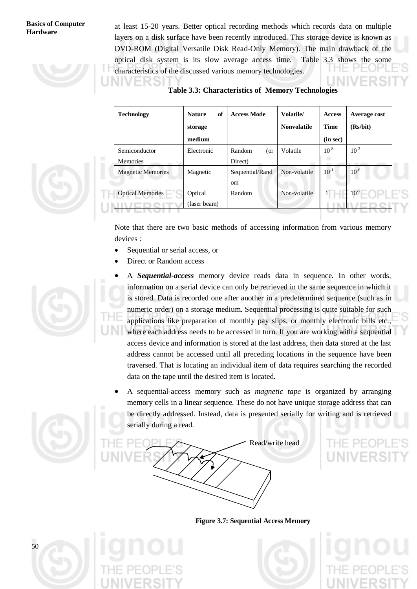at least 15-20 years. Better optical recording methods which records data on multiple layers on a disk surface have been recently introduced. This storage device is known as DVD-ROM (Digital Versatile Disk Read-Only Memory). The main drawback of the optical disk system is its slow average access time. Table 3.3 shows the some characteristics of the discussed various memory technologies.

**Table 3.3: Characteristics of Memory Technologies**

| <b>Technology</b>        | of<br><b>Nature</b> | <b>Access Mode</b> | <b>Volatile/</b>   | <b>Access</b> | Average cost |  |
|--------------------------|---------------------|--------------------|--------------------|---------------|--------------|--|
|                          | storage             |                    | <b>Nonvolatile</b> | <b>Time</b>   | (Rs/bit)     |  |
|                          | medium              |                    |                    | (in sec)      |              |  |
| Semiconductor            | Electronic          | Random<br>(or      | Volatile           | $10^{-8}$     | $10^{-2}$    |  |
| <b>Memories</b>          |                     | Direct)            |                    |               |              |  |
| <b>Magnetic Memories</b> | Magnetic            | Sequential/Rand    | Non-volatile       | $10^{-1}$     | $10^{-6}$    |  |
|                          |                     | <sub>om</sub>      |                    |               |              |  |
| <b>Optical Memories</b>  | Optical             | Random             | Non-volatile       |               | $10^{-7}$    |  |
|                          | (laser beam)        |                    |                    |               |              |  |
|                          |                     |                    |                    |               |              |  |

Note that there are two basic methods of accessing information from various memory devices :

- Sequential or serial access, or
- Direct or Random access
- A *Sequential-access* memory device reads data in sequence. In other words, information on a serial device can only be retrieved in the same sequence in which it is stored. Data is recorded one after another in a predetermined sequence (such as in numeric order) on a storage medium. Sequential processing is quite suitable for such applications like preparation of monthly pay slips, or monthly electronic bills etc., where each address needs to be accessed in turn. If you are working with a sequential access device and information is stored at the last address, then data stored at the last address cannot be accessed until all preceding locations in the sequence have been traversed. That is locating an individual item of data requires searching the recorded data on the tape until the desired item is located.
- A sequential-access memory such as *magnetic tape* is organized by arranging memory cells in a linear sequence. These do not have unique storage address that can be directly addressed. Instead, data is presented serially for writing and is retrieved serially during a read.











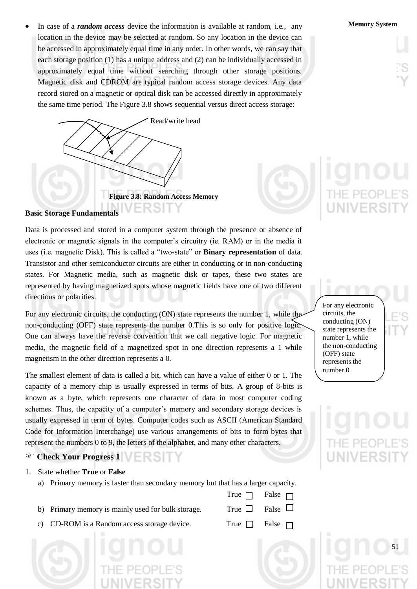In case of a *random access* device the information is available at random, i.e., any **Memory System** location in the device may be selected at random. So any location in the device can be accessed in approximately equal time in any order. In other words, we can say that each storage position (1) has a unique address and (2) can be individually accessed in approximately equal time without searching through other storage positions. Magnetic disk and CDROM are typical random access storage devices. Any data record stored on a magnetic or optical disk can be accessed directly in approximately the same time period. The Figure 3.8 shows sequential versus direct access storage:



### **Basic Storage Fundamentals**

Data is processed and stored in a computer system through the presence or absence of electronic or magnetic signals in the computer's circuitry (ie. RAM) or in the media it uses (i.e. magnetic Disk). This is called a "two-state" or **Binary representation** of data. Transistor and other semiconductor circuits are either in conducting or in non-conducting states. For Magnetic media, such as magnetic disk or tapes, these two states are represented by having magnetized spots whose magnetic fields have one of two different directions or polarities.

For any electronic circuits, the conducting (ON) state represents the number 1, while the non-conducting (OFF) state represents the number 0.This is so only for positive logic. One can always have the reverse convention that we call negative logic. For magnetic media, the magnetic field of a magnetized spot in one direction represents a 1 while magnetism in the other direction represents a 0.

The smallest element of data is called a bit, which can have a value of either 0 or 1. The capacity of a memory chip is usually expressed in terms of bits. A group of 8-bits is known as a byte, which represents one character of data in most computer coding schemes. Thus, the capacity of a computer's memory and secondary storage devices is usually expressed in term of bytes. Computer codes such as ASCII (American Standard Code for Information Interchange) use various arrangements of bits to form bytes that represent the numbers 0 to 9, the letters of the alphabet, and many other characters.

### **Check Your Progress 1**

- 1. State whether **True** or **False**
	- a) Primary memory is faster than secondary memory but that has a larger capacity.
	- b) Primary memory is mainly used for bulk storage. Tru
	- c) CD-ROM is a Random access storage device. True  $\Box$  False



|    | $\mathop{\mathrm{ne}}~\Box$ | False $\Box$ |  |
|----|-----------------------------|--------------|--|
| ie |                             | False $\Box$ |  |

True  $\Box$  False  $\Box$ 

For any electronic circuits, the conducting (ON) state represents the number 1, while the non-conducting (OFF) state represents the number 0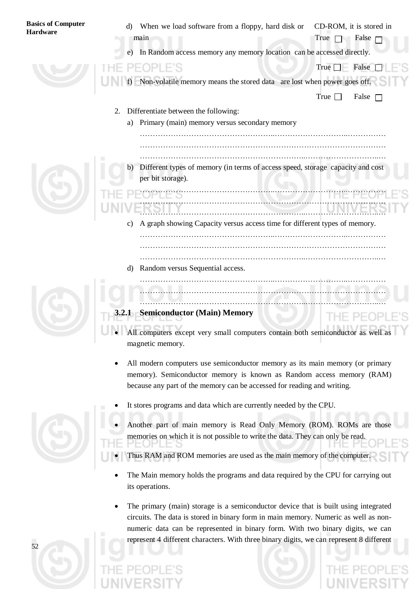| <b>Basics of Computer</b><br><b>Hardware</b> | When we load software from a floppy, hard disk or<br>CD-ROM, it is stored in<br>d)<br>main<br>False<br>True $\Box$ |
|----------------------------------------------|--------------------------------------------------------------------------------------------------------------------|
|                                              | e) In Random access memory any memory location can be accessed directly.                                           |
|                                              | False<br>True $\Box$                                                                                               |
|                                              | Non-volatile memory means the stored data are lost when power goes off.                                            |
|                                              | True $\Box$<br>False $\Box$                                                                                        |
|                                              | Differentiate between the following:<br>2.                                                                         |
|                                              | Primary (main) memory versus secondary memory<br>a)                                                                |
|                                              |                                                                                                                    |
|                                              |                                                                                                                    |
|                                              | Different types of memory (in terms of access speed, storage capacity and cost<br>b)                               |
|                                              | per bit storage).                                                                                                  |
|                                              |                                                                                                                    |
|                                              |                                                                                                                    |
|                                              | A graph showing Capacity versus access time for different types of memory.<br>C)                                   |
|                                              |                                                                                                                    |
|                                              |                                                                                                                    |
|                                              | Random versus Sequential access.<br>d)                                                                             |
|                                              |                                                                                                                    |
|                                              |                                                                                                                    |
|                                              | <b>Semiconductor (Main) Memory</b><br>3.2.1                                                                        |
|                                              | All computers except very small computers contain both semiconductor as well as                                    |
|                                              | magnetic memory.                                                                                                   |
|                                              |                                                                                                                    |

- All modern computers use semiconductor memory as its main memory (or primary memory). Semiconductor memory is known as Random access memory (RAM) because any part of the memory can be accessed for reading and writing.
- It stores programs and data which are currently needed by the CPU.
- 

- Another part of main memory is Read Only Memory (ROM). ROMs are those memories on which it is not possible to write the data. They can only be read.
- Thus RAM and ROM memories are used as the main memory of the computer.
- The Main memory holds the programs and data required by the CPU for carrying out its operations.
- The primary (main) storage is a semiconductor device that is built using integrated circuits. The data is stored in binary form in main memory. Numeric as well as nonnumeric data can be represented in binary form. With two binary digits, we can represent 4 different characters. With three binary digits, we can represent 8 different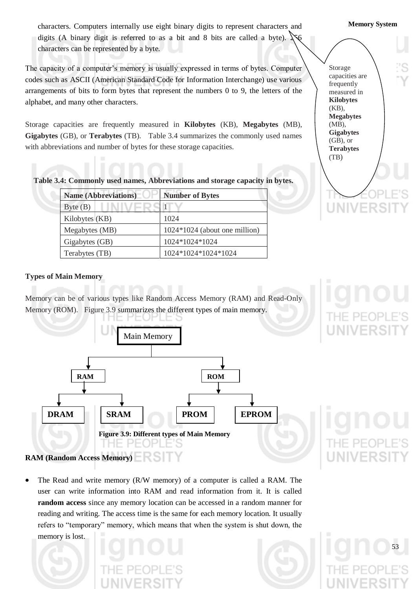characters. Computers internally use eight binary digits to represent characters and **Memory System** digits (A binary digit is referred to as a bit and  $8$  bits are called a byte). characters can be represented by a byte.

The capacity of a computer"s memory is usually expressed in terms of bytes. Computer codes such as ASCII (American Standard Code for Information Interchange) use various arrangements of bits to form bytes that represent the numbers 0 to 9, the letters of the alphabet, and many other characters.

Storage capacities are frequently measured in **Kilobytes** (KB), **Megabytes** (MB), **Gigabytes** (GB), or **Terabytes** (TB). Table 3.4 summarizes the commonly used names with abbreviations and number of bytes for these storage capacities.

Storage capacities are frequently measured in **Kilobytes** (KB), **Megabytes**  (MB), **Gigabytes** (GB), or **Terabytes** (TB)

**Table 3.4: Commonly used names, Abbreviations and storage capacity in bytes.**

| <b>Name (Abbreviations)</b> | <b>Number of Bytes</b>        |
|-----------------------------|-------------------------------|
| Byte(B)                     |                               |
| Kilobytes (KB)              | 1024                          |
| Megabytes (MB)              | 1024*1024 (about one million) |
| Gigabytes (GB)              | 1024*1024*1024                |
| Terabytes (TB)              | 1024*1024*1024*1024           |

#### **Types of Main Memory**

Memory can be of various types like Random Access Memory (RAM) and Read-Only Memory (ROM). Figure 3.9 summarizes the different types of main memory.



### The Read and write memory (R/W memory) of a computer is called a RAM. The user can write information into RAM and read information from it. It is called **random access** since any memory location can be accessed in a random manner for reading and writing. The access time is the same for each memory location. It usually refers to "temporary" memory, which means that when the system is shut down, the memory is lost.





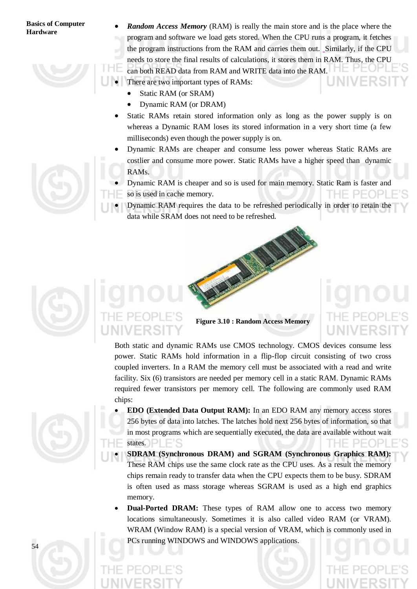*Random Access Memory* (RAM) is really the main store and is the place where the program and software we load gets stored. When the CPU runs a program, it fetches the program instructions from the RAM and carries them out. Similarly, if the CPU needs to store the final results of calculations, it stores them in RAM. Thus, the CPU can both READ data from RAM and WRITE data into the RAM. There are two important types of RAMs:

- Static RAM (or SRAM)
- Dynamic RAM (or DRAM)
- Static RAMs retain stored information only as long as the power supply is on whereas a Dynamic RAM loses its stored information in a very short time (a few milliseconds) even though the power supply is on.
- Dynamic RAMs are cheaper and consume less power whereas Static RAMs are costlier and consume more power. Static RAMs have a higher speed than dynamic RAMs.
- Dynamic RAM is cheaper and so is used for main memory. Static Ram is faster and so is used in cache memory. PFOPI
- Dynamic RAM requires the data to be refreshed periodically in order to retain the data while SRAM does not need to be refreshed.





Both static and dynamic RAMs use CMOS technology. CMOS devices consume less power. Static RAMs hold information in a flip-flop circuit consisting of two cross coupled inverters. In a RAM the memory cell must be associated with a read and write facility. Six (6) transistors are needed per memory cell in a static RAM. Dynamic RAMs required fewer transistors per memory cell. The following are commonly used RAM chips:

- **EDO (Extended Data Output RAM):** In an EDO RAM any memory access stores 256 bytes of data into latches. The latches hold next 256 bytes of information, so that in most programs which are sequentially executed, the data are available without wait states.
- **SDRAM (Synchronous DRAM) and SGRAM (Synchronous Graphics RAM):**  These RAM chips use the same clock rate as the CPU uses. As a result the memory chips remain ready to transfer data when the CPU expects them to be busy. SDRAM is often used as mass storage whereas SGRAM is used as a high end graphics memory.
- **Dual-Ported DRAM:** These types of RAM allow one to access two memory locations simultaneously. Sometimes it is also called video RAM (or VRAM). WRAM (Window RAM) is a special version of VRAM, which is commonly used in PCs running WINDOWS and WINDOWS applications.

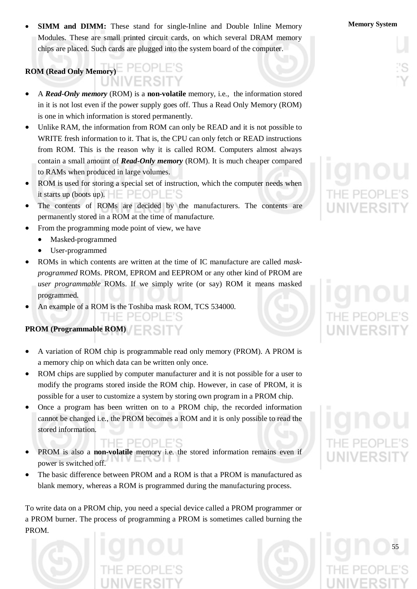**SIMM and DIMM:** These stand for single-Inline and Double Inline Memory **Memory System** Modules. These are small printed circuit cards, on which several DRAM memory chips are placed. Such cards are plugged into the system board of the computer.

# **ROM (Read Only Memory)**

- A *Read-Only memory* (ROM) is a **non-volatile** memory, i.e., the information stored in it is not lost even if the power supply goes off. Thus a Read Only Memory (ROM) is one in which information is stored permanently.
- Unlike RAM, the information from ROM can only be READ and it is not possible to WRITE fresh information to it. That is, the CPU can only fetch or READ instructions from ROM. This is the reason why it is called ROM. Computers almost always contain a small amount of *Read-Only memory* (ROM). It is much cheaper compared to RAMs when produced in large volumes.
- ROM is used for storing a special set of instruction, which the computer needs when it starts up (boots up).  $\Box$   $\Box$   $\Box$   $\Box$   $\Box$   $\Box$   $\Box$
- The contents of ROMs are decided by the manufacturers. The contents are permanently stored in a ROM at the time of manufacture.
- From the programming mode point of view, we have
	- Masked-programmed
	- User-programmed
- ROMs in which contents are written at the time of IC manufacture are called *maskprogrammed* ROMs. PROM, EPROM and EEPROM or any other kind of PROM are *user programmable* ROMs. If we simply write (or say) ROM it means masked programmed*.*
- An example of a ROM is the Toshiba mask ROM, TCS 534000.

HE PEOPLE'S

**PROM (Programmable ROM)** 

- A variation of ROM chip is programmable read only memory (PROM). A PROM is a memory chip on which data can be written only once.
- ROM chips are supplied by computer manufacturer and it is not possible for a user to modify the programs stored inside the ROM chip. However, in case of PROM, it is possible for a user to customize a system by storing own program in a PROM chip.
- Once a program has been written on to a PROM chip, the recorded information cannot be changed i.e., the PROM becomes a ROM and it is only possible to read the stored information.
- PROM is also a **non-volatile** memory i.e. the stored information remains even if power is switched off.
- The basic difference between PROM and a ROM is that a PROM is manufactured as blank memory, whereas a ROM is programmed during the manufacturing process.

To write data on a PROM chip, you need a special device called a PROM programmer or a PROM burner. The process of programming a PROM is sometimes called burning the PROM.





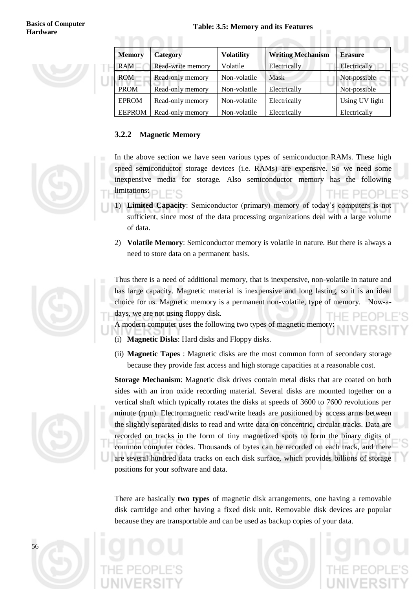

| <b>Memory</b> | Category          | <b>Volatility</b> | <b>Writing Mechanism</b> | <b>Erasure</b> |
|---------------|-------------------|-------------------|--------------------------|----------------|
| <b>RAM</b>    | Read-write memory | Volatile          | Electrically             | Electrically   |
| <b>ROM</b>    | Read-only memory  | Non-volatile      | Mask                     | Not-possible   |
| <b>PROM</b>   | Read-only memory  | Non-volatile      | Electrically             | Not-possible   |
| <b>EPROM</b>  | Read-only memory  | Non-volatile      | Electrically             | Using UV light |
| <b>EEPROM</b> | Read-only memory  | Non-volatile      | Electrically             | Electrically   |

### **3.2.2 Magnetic Memory**



- 1) **Limited Capacity**: Semiconductor (primary) memory of today"s computers is not sufficient, since most of the data processing organizations deal with a large volume of data.
- 2) **Volatile Memory**: Semiconductor memory is volatile in nature. But there is always a need to store data on a permanent basis.

Thus there is a need of additional memory, that is inexpensive, non-volatile in nature and has large capacity. Magnetic material is inexpensive and long lasting, so it is an ideal choice for us. Magnetic memory is a permanent non-volatile, type of memory. Now-adays, we are not using floppy disk.

A modern computer uses the following two types of magnetic memory:

- (i) **Magnetic Disks**: Hard disks and Floppy disks.
- (ii) **Magnetic Tapes** : Magnetic disks are the most common form of secondary storage because they provide fast access and high storage capacities at a reasonable cost.

**Storage Mechanism**: Magnetic disk drives contain metal disks that are coated on both sides with an iron oxide recording material. Several disks are mounted together on a vertical shaft which typically rotates the disks at speeds of 3600 to 7600 revolutions per minute (rpm). Electromagnetic read/write heads are positioned by access arms between the slightly separated disks to read and write data on concentric, circular tracks. Data are recorded on tracks in the form of tiny magnetized spots to form the binary digits of common computer codes. Thousands of bytes can be recorded on each track, and there are several hundred data tracks on each disk surface, which provides billions of storage positions for your software and data.

There are basically **two types** of magnetic disk arrangements, one having a removable disk cartridge and other having a fixed disk unit. Removable disk devices are popular because they are transportable and can be used as backup copies of your data.







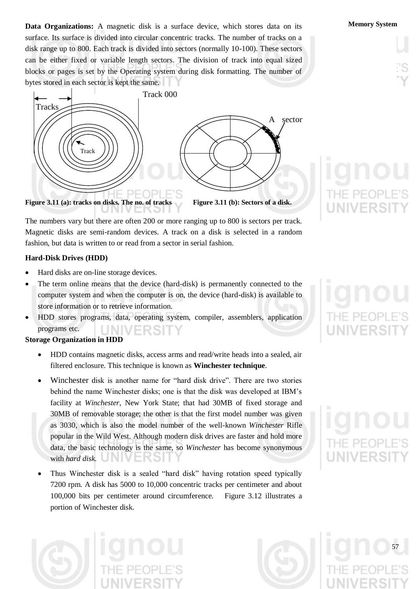**Data Organizations:** A magnetic disk is a surface device, which stores data on its **Memory System** surface. Its surface is divided into circular concentric tracks. The number of tracks on a disk range up to 800. Each track is divided into sectors (normally 10-100). These sectors can be either fixed or variable length sectors. The division of track into equal sized blocks or pages is set by the Operating system during disk formatting. The number of bytes stored in each sector is kept the same.



The numbers vary but there are often 200 or more ranging up to 800 is sectors per track. Magnetic disks are semi-random devices. A track on a disk is selected in a random fashion, but data is written to or read from a sector in serial fashion.

### **Hard-Disk Drives (HDD)**

- Hard disks are on-line storage devices.
- The term online means that the device (hard-disk) is permanently connected to the computer system and when the computer is on, the device (hard-disk) is available to store information or to retrieve information.
- HDD stores programs, data, operating system, compiler, assemblers, application programs etc.

### **Storage Organization in HDD**

- HDD contains magnetic disks, access arms and read/write heads into a sealed, air filtered enclosure. This technique is known as **Winchester technique**.
- Winchester disk is another name for "hard disk drive". There are two stories behind the name Winchester disks; one is that the disk was developed at IBM"s facility at *Winchester*, New York State; that had 30MB of fixed storage and 30MB of removable storage; the other is that the first model number was given as 3030, which is also the model number of the well-known *Winchester* Rifle popular in the Wild West. Although modern disk drives are faster and hold more data, the basic technology is the same, so *Winchester* has become synonymous with *hard disk.*
- Thus Winchester disk is a sealed "hard disk" having rotation speed typically 7200 rpm. A disk has 5000 to 10,000 concentric tracks per centimeter and about 100,000 bits per centimeter around circumference. Figure 3.12 illustrates a portion of Winchester disk.





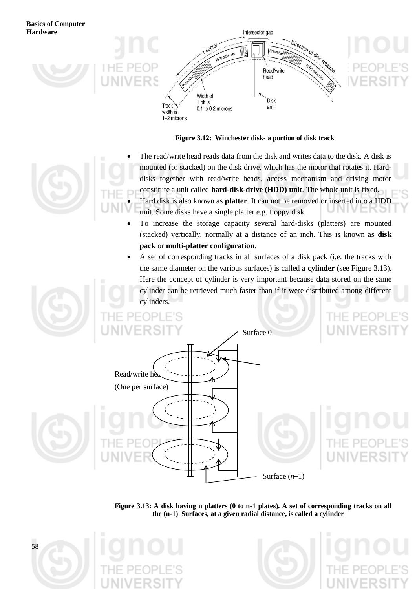

**Figure 3.12: Winchester disk- a portion of disk track**

- The read/write head reads data from the disk and writes data to the disk. A disk is mounted (or stacked) on the disk drive, which has the motor that rotates it. Harddisks together with read/write heads, access mechanism and driving motor constitute a unit called **hard-disk-drive (HDD) unit**. The whole unit is fixed. Hard disk is also known as **platter**. It can not be removed or inserted into a HDD unit. Some disks have a single platter e.g. floppy disk.
- To increase the storage capacity several hard-disks (platters) are mounted (stacked) vertically, normally at a distance of an inch. This is known as **disk pack** or **multi-platter configuration**.
- A set of corresponding tracks in all surfaces of a disk pack (i.e. the tracks with the same diameter on the various surfaces) is called a **cylinder** (see Figure 3.13). Here the concept of cylinder is very important because data stored on the same cylinder can be retrieved much faster than if it were distributed among different cylinders.



**Figure 3.13: A disk having n platters (0 to n-1 plates). A set of corresponding tracks on all the (n-1) Surfaces, at a given radial distance, is called a cylinder**





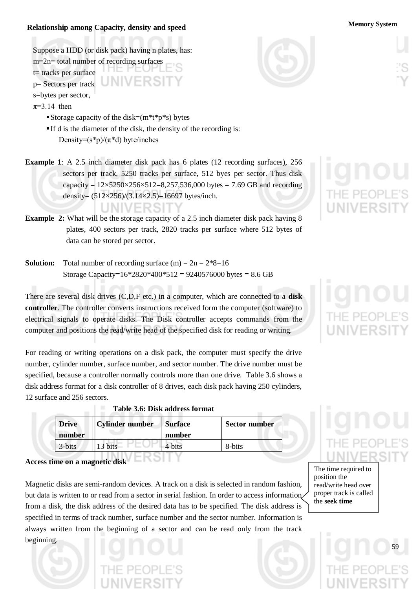### **Memory System Relationship among Capacity, density and speed**

Suppose a HDD (or disk pack) having n plates, has:

- m=2n= total number of recording surfaces t= tracks per surface p= Sectors per track UNIVERSIT s=bytes per sector,
- $\pi=3.14$  then

Storage capacity of the disk= $(m^*t^*p^*s)$  bytes

- If d is the diameter of the disk, the density of the recording is: Density= $(s*p)/(\pi*d)$  byte/inches
- **Example** 1: A 2.5 inch diameter disk pack has 6 plates (12 recording surfaces), 256 sectors per track, 5250 tracks per surface, 512 byes per sector. Thus disk capacity =  $12 \times 5250 \times 256 \times 512 = 8,257,536,000$  bytes = 7.69 GB and recording density= (512×256)/(3.14×2.5)=16697 bytes/inch.
- **Example 2:** What will be the storage capacity of a 2.5 inch diameter disk pack having 8 plates, 400 sectors per track, 2820 tracks per surface where 512 bytes of data can be stored per sector.
- **Solution:** Total number of recording surface  $(m) = 2n = 2*8=16$ Storage Capacity= $16*2820*400*512 = 9240576000$  bytes = 8.6 GB

There are several disk drives (C,D,F etc.) in a computer, which are connected to a **disk controller**. The controller converts instructions received form the computer (software) to electrical signals to operate disks. The Disk controller accepts commands from the computer and positions the read/write head of the specified disk for reading or writing.

For reading or writing operations on a disk pack, the computer must specify the drive number, cylinder number, surface number, and sector number. The drive number must be specified, because a controller normally controls more than one drive. Table 3.6 shows a disk address format for a disk controller of 8 drives, each disk pack having 250 cylinders, 12 surface and 256 sectors.

| <b>Drive</b><br>number | <b>Cylinder number</b> | <b>Surface</b><br>number | Sector number |
|------------------------|------------------------|--------------------------|---------------|
| 3-bits                 | 3 bits                 | hits                     | 8-bits        |

#### **Table 3.6: Disk address format**

**Access time on a magnetic disk**

Magnetic disks are semi-random devices. A track on a disk is selected in random fashion, but data is written to or read from a sector in serial fashion. In order to access information from a disk, the disk address of the desired data has to be specified. The disk address is specified in terms of track number, surface number and the sector number. Information is always written from the beginning of a sector and can be read only from the track beginning.





The time required to position the read/write head over proper track is called the **seek time**

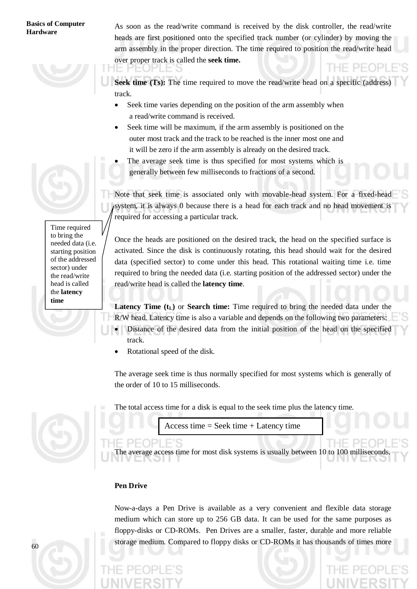As soon as the read/write command is received by the disk controller, the read/write heads are first positioned onto the specified track number (or cylinder) by moving the arm assembly in the proper direction. The time required to position the read/write head over proper track is called the **seek time.**

**Seek time (Ts):** The time required to move the read/write head on a specific (address) track.

- Seek time varies depending on the position of the arm assembly when a read/write command is received.
- Seek time will be maximum, if the arm assembly is positioned on the outer most track and the track to be reached is the inner most one and it will be zero if the arm assembly is already on the desired track.
- The average seek time is thus specified for most systems which is generally between few milliseconds to fractions of a second.

Note that seek time is associated only with movable-head system. For a fixed-head system, it is always 0 because there is a head for each track and no head movement is required for accessing a particular track.

Once the heads are positioned on the desired track, the head on the specified surface is activated. Since the disk is continuously rotating, this head should wait for the desired data (specified sector) to come under this head. This rotational waiting time i.e. time required to bring the needed data (i.e. starting position of the addressed sector) under the read/write head is called the **latency time**.

**Latency Time**  $(t_L)$  **or <b>Search time:** Time required to bring the needed data under the

- R/W head. Latency time is also a variable and depends on the following two parameters: Distance of the desired data from the initial position of the head on the specified track.
- Rotational speed of the disk.

The average seek time is thus normally specified for most systems which is generally of the order of 10 to 15 milliseconds.

The total access time for a disk is equal to the seek time plus the latency time.

Access time = Seek time + Latency time

 $-$ The average access time for most disk systems is usually between 10 to 100 milliseconds.

### **Pen Drive**

Now-a-days a Pen Drive is available as a very convenient and flexible data storage medium which can store up to 256 GB data. It can be used for the same purposes as floppy-disks or CD-ROMs. Pen Drives are a smaller, faster, durable and more reliable storage medium. Compared to floppy disks or CD-ROMs it has thousands of times more





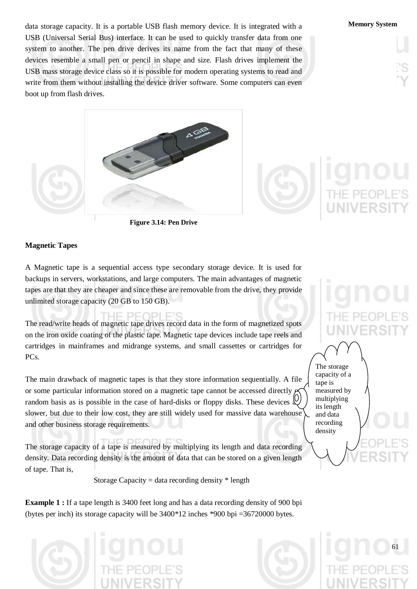data storage capacity. It is a portable USB flash memory device. It is integrated with a **Memory System** USB (Universal Serial Bus) interface. It can be used to quickly transfer data from one system to another. The pen drive derives its name from the fact that many of these devices resemble a small pen or pencil in shape and size. Flash drives implement the USB mass storage device class so it is possible for modern operating systems to read and write from them without installing the device driver software. Some computers can even boot up from flash drives.



**Figure 3.14: Pen Drive**

### **Magnetic Tapes**

A Magnetic tape is a sequential access type secondary storage device. It is used for backups in servers, workstations, and large computers. The main advantages of magnetic tapes are that they are cheaper and since these are removable from the drive, they provide unlimited storage capacity (20 GB to 150 GB).

### IE DEODI E'S

The read/write heads of magnetic tape drives record data in the form of magnetized spots on the iron oxide coating of the plastic tape. Magnetic tape devices include tape reels and cartridges in mainframes and midrange systems, and small cassettes or cartridges for PC<sub>s</sub>.

The main drawback of magnetic tapes is that they store information sequentially. A file or some particular information stored on a magnetic tape cannot be accessed directly  $\mu$ random basis as is possible in the case of hard-disks or floppy disks. These devices  $\&$ slower, but due to their low cost, they are still widely used for massive data warehouse and other business storage requirements.

The storage capacity of a tape is measured by multiplying its length and data recording density. Data recording density is the amount of data that can be stored on a given length of tape. That is,

Storage Capacity = data recording density  $*$  length

**Example 1 :** If a tape length is 3400 feet long and has a data recording density of 900 bpi (bytes per inch) its storage capacity will be  $3400*12$  inches  $*900$  bpi  $=36720000$  bytes.







The storage capacity of a tape is measured by multiplying its length and data recording density

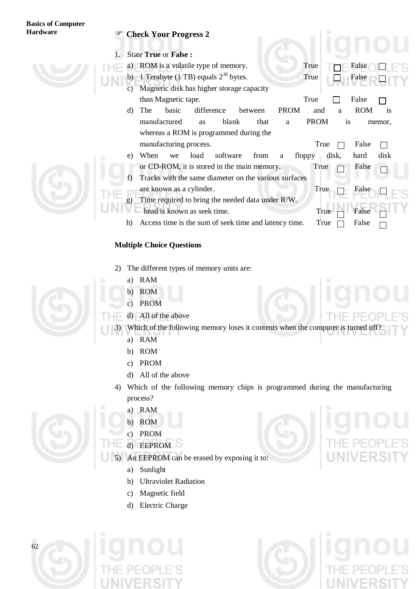# **Basics of Computer**

### **Hardware Check Your Progress 2**

1. State **True** or **False :**

- a) ROM is a volatile type of memory. True  $T \Box F$  False
- b) 1 Terabyte (1 TB) equals  $2^{30}$  bytes. True  $\Box$  False
- c) Magnetic disk has higher storage capacity than Magnetic tape. True  $\Box$  False
- d) The basic difference between PROM and a ROM is manufactured as blank that a PROM is memor, whereas a ROM is programmed during the manufacturing process.  $\Box$  True  $\Box$  False
- e) When we load software from a floppy disk, hard disk or CD-ROM, it is stored in the main memory. True  $\Box$  False
- f) Tracks with the same diameter on the various surfaces
- are known as a cylinder. True  $\Box$  False
	- g) Time required to bring the needed data under R/W.
- head is known as seek time. True  $\Box$  False
	- h) Access time is the sum of seek time and latency time. True  $\Box$  False

### **Multiple Choice Questions**

- 2) The different types of memory units are:
	- a) RAM
	- b) ROM
	- c) PROM
- d) All of the above
- 3) Which of the following memory loses it contents when the computer is turned off
	- a) RAM
	- b) ROM
	- c) PROM
	- d) All of the above
	- 4) Which of the following memory chips is programmed during the manufacturing process?
		- a) RAM
		- b) ROM
		- c) PROM
		- d) EEPROM
	- An EEPROM can be erased by exposing it to:
		- a) Sunlight
		- b) Ultraviolet Radiation
		- c) Magnetic field
		- d) Electric Charge







П

 $\Box$ 



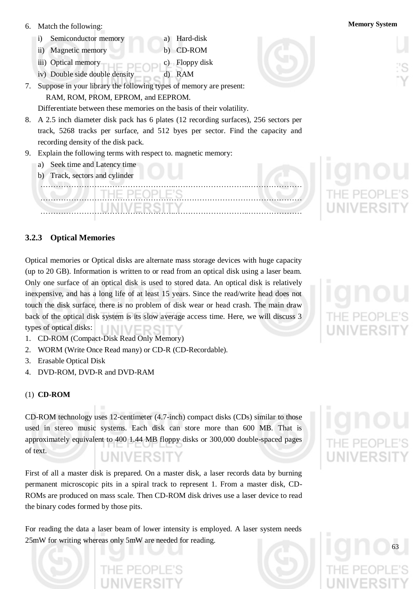- 6. Match the following: **Memory System**
	- i) Semiconductor memory a) Hard-disk
	- ii) Magnetic memory b) CD-ROM
	- iii) Optical memory c) Floppy disk
	- iv) Double side double density d) RAM
- 7. Suppose in your library the following types of memory are present: RAM, ROM, PROM, EPROM, and EEPROM.

Differentiate between these memories on the basis of their volatility.

- 8. A 2.5 inch diameter disk pack has 6 plates (12 recording surfaces), 256 sectors per track, 5268 tracks per surface, and 512 byes per sector. Find the capacity and recording density of the disk pack.
- 9. Explain the following terms with respect to. magnetic memory:
	- a) Seek time and Latency time
	- b) Track, sectors and cylinder

### ……………………………………………..………………………..………………… ………………………………………………………………………………………… ……………………………………………..………………………..…………………

### **3.2.3 Optical Memories**

Optical memories or Optical disks are alternate mass storage devices with huge capacity (up to 20 GB). Information is written to or read from an optical disk using a laser beam. Only one surface of an optical disk is used to stored data. An optical disk is relatively inexpensive, and has a long life of at least 15 years. Since the read/write head does not touch the disk surface, there is no problem of disk wear or head crash. The main draw back of the optical disk system is its slow average access time. Here, we will discuss 3 types of optical disks: NIVERS

- 1. CD-ROM (Compact-Disk Read Only Memory)
- 2. WORM (Write Once Read many) or CD-R (CD-Recordable).
- 3. Erasable Optical Disk
- 4. DVD-ROM, DVD-R and DVD-RAM

### (1) **CD-ROM**

CD-ROM technology uses 12-centimeter (4.7-inch) compact disks (CDs) similar to those used in stereo music systems. Each disk can store more than 600 MB. That is approximately equivalent to 400 1.44 MB floppy disks or 300,000 double-spaced pages of text. UNIVERSIT

First of all a master disk is prepared. On a master disk, a laser records data by burning permanent microscopic pits in a spiral track to represent 1. From a master disk, CD-ROMs are produced on mass scale. Then CD-ROM disk drives use a laser device to read the binary codes formed by those pits.

For reading the data a laser beam of lower intensity is employed. A laser system needs 25mW for writing whereas only 5mW are needed for reading.





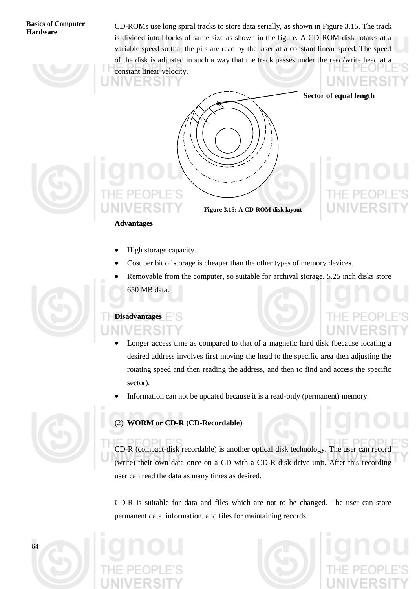CD-ROMs use long spiral tracks to store data serially, as shown in Figure 3.15. The track is divided into blocks of same size as shown in the figure. A CD-ROM disk rotates at a variable speed so that the pits are read by the laser at a constant linear speed. The speed of the disk is adjusted in such a way that the track passes under the read/write head at a constant linear velocity. NIVERSI



 **Sector of equal length**



**Figure 3.15: A CD-ROM disk layout**

### **Advantages**

- High storage capacity.
- Cost per bit of storage is cheaper than the other types of memory devices.
- Removable from the computer, so suitable for archival storage. 5.25 inch disks store 650 MB data.

# **Disadvantages**

- Longer access time as compared to that of a magnetic hard disk (because locating a desired address involves first moving the head to the specific area then adjusting the rotating speed and then reading the address, and then to find and access the specific sector).
- Information can not be updated because it is a read-only (permanent) memory.



### (2) **WORM or CD-R (CD-Recordable)**

CD-R (compact-disk recordable) is another optical disk technology. The user can record (write) their own data once on a CD with a CD-R disk drive unit. After this recording user can read the data as many times as desired.

CD-R is suitable for data and files which are not to be changed. The user can store permanent data, information, and files for maintaining records.







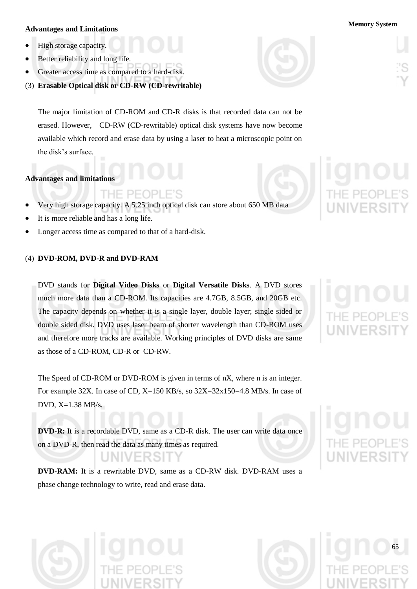### **Memory System Advantages and Limitations**

- High storage capacity.
- Better reliability and long life.
- Greater access time as compared to a hard-disk.
- (3) **Erasable Optical disk or CD-RW (CD-rewritable)**

The major limitation of CD-ROM and CD-R disks is that recorded data can not be erased. However, CD-RW (CD-rewritable) optical disk systems have now become available which record and erase data by using a laser to heat a microscopic point on the disk"s surface.

### **Advantages and limitations**

- THE PEOP
- Very high storage capacity. A 5.25 inch optical disk can store about 650 MB data
- It is more reliable and has a long life.
- Longer access time as compared to that of a hard-disk.

### (4) **DVD-ROM, DVD-R and DVD-RAM**

DVD stands for **Digital Video Disks** or **Digital Versatile Disks**. A DVD stores much more data than a CD-ROM. Its capacities are 4.7GB, 8.5GB, and 20GB etc. The capacity depends on whether it is a single layer, double layer; single sided or double sided disk. DVD uses laser beam of shorter wavelength than CD-ROM uses and therefore more tracks are available. Working principles of DVD disks are same as those of a CD-ROM, CD-R or CD-RW.

The Speed of CD-ROM or DVD-ROM is given in terms of nX, where n is an integer. For example 32X. In case of CD, X=150 KB/s, so 32X=32x150=4.8 MB/s. In case of DVD,  $X=1.38$  MB/s.

**DVD-R:** It is a recordable DVD, same as a CD-R disk. The user can write data once on a DVD-R, then read the data as many times as required.

**DVD-RAM:** It is a rewritable DVD, same as a CD-RW disk. DVD-RAM uses a phase change technology to write, read and erase data.











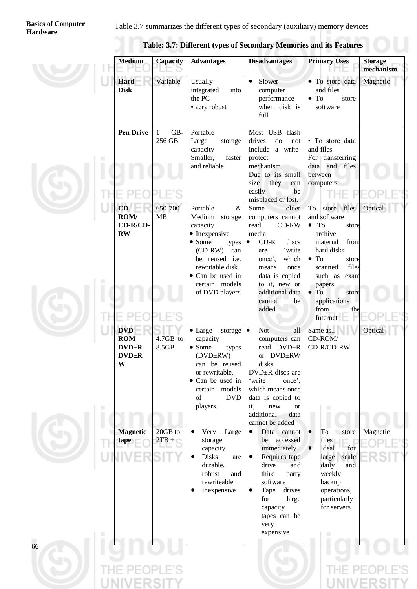### Table 3.7 summarizes the different types of secondary (auxiliary) memory devices

|   | <b>Medium</b>                                         | Capacity                      | <b>Advantages</b>                                                                                                                                                                                         | <b>Disadvantages</b>                                                                                                                                                                                                            | <b>Primary Uses</b>                                                                                                                                                                                                                    | <b>Storage</b><br>mechanism |
|---|-------------------------------------------------------|-------------------------------|-----------------------------------------------------------------------------------------------------------------------------------------------------------------------------------------------------------|---------------------------------------------------------------------------------------------------------------------------------------------------------------------------------------------------------------------------------|----------------------------------------------------------------------------------------------------------------------------------------------------------------------------------------------------------------------------------------|-----------------------------|
|   | Hard<br><b>Disk</b>                                   | Variable                      | Usually<br>integrated<br>into<br>the PC<br>• very robust                                                                                                                                                  | Slower<br>$\bullet$<br>computer<br>performance<br>when disk is<br>full                                                                                                                                                          | • To store data<br>and files<br>$\bullet$ To<br>store<br>software                                                                                                                                                                      | Magnetic                    |
| ш | <b>Pen Drive</b>                                      | GB-<br>$\mathbf{1}$<br>256 GB | Portable<br>Large<br>storage<br>capacity<br>Smaller,<br>faster<br>and reliable                                                                                                                            | Most USB flash<br>drives<br>do<br>not<br>include a write-<br>protect<br>mechanism.<br>Due to its small<br>they can<br>size<br>easily<br>be<br>misplaced or lost.                                                                | • To store data<br>and files.<br>For transferring<br>data and files<br>between<br>computers                                                                                                                                            |                             |
| ■ | CD-<br>ROM/<br>CD-R/CD-<br>$\mathbf{R}\mathbf{W}$     | 650-700<br><b>MB</b>          | Portable<br>&<br>Medium storage<br>capacity<br>• Inexpensive<br>$\bullet$ Some<br>types<br>$(CD-RW)$<br>can<br>be reused i.e.<br>rewritable disk.<br>• Can be used in<br>certain models<br>of DVD players | Some<br>older<br>computers cannot<br>read<br>CD-RW<br>media<br>$CD-R$<br>discs<br>$\bullet$<br>'write<br>are<br>once',<br>which<br>means<br>once<br>data is copied<br>to it, new or<br>additional data<br>cannot<br>be<br>added | store files<br>To<br>and software<br>$\bullet$ To<br>store<br>archive<br>material<br>from<br>hard disks<br>$\bullet$ To<br>store<br>files<br>scanned<br>such as exam<br>papers<br>$\bullet$ To<br>store<br>applications<br>from<br>the | Optical                     |
| ш | DVD-<br><b>ROM</b><br>$DVD \pm R$<br>$DVD \pm R$<br>W | 4.7GB to<br>8.5GB             | $\bullet$ Large<br>storage<br>capacity<br>$\bullet$ Some<br>types<br>(DVD±RW)<br>can be reused<br>or rewritable.<br>• Can be used in<br>certain models<br>of<br><b>DVD</b><br>players.                    | <b>Not</b><br>all<br>$\bullet$<br>computers can<br>read DVD±R<br>or DVD±RW<br>disks.<br>DVD±R discs are<br>'write<br>once',<br>which means once<br>data is copied to<br>it,<br>new<br><b>or</b><br>additional<br>data           | Internet<br>Same as<br>CD-ROM/<br>CD-R/CD-RW                                                                                                                                                                                           | Optical                     |
| ш | <b>Magnetic</b><br>tape                               | 20GB to<br>$2TB + C$          | Very<br>Large<br>storage<br>capacity<br><b>Disks</b><br>are<br>durable,<br>robust<br>and<br>rewriteable<br>Inexpensive                                                                                    | cannot be added<br>Data<br>cannot<br>accessed<br>be<br>immediately<br>Requires tape<br>drive<br>and<br>third<br>party<br>software<br>drives<br>Tape<br>for<br>large<br>capacity<br>tapes can be<br>very<br>expensive            | To<br>store<br>$\bullet$<br>files<br>Ideal<br>for<br>large<br>scale<br>daily<br>and<br>weekly<br>backup<br>operations,<br>particularly<br>for servers.                                                                                 | Magnetic                    |
| Π |                                                       |                               |                                                                                                                                                                                                           |                                                                                                                                                                                                                                 | ш                                                                                                                                                                                                                                      |                             |

**Table: 3.7: Different types of Secondary Memories and its Features**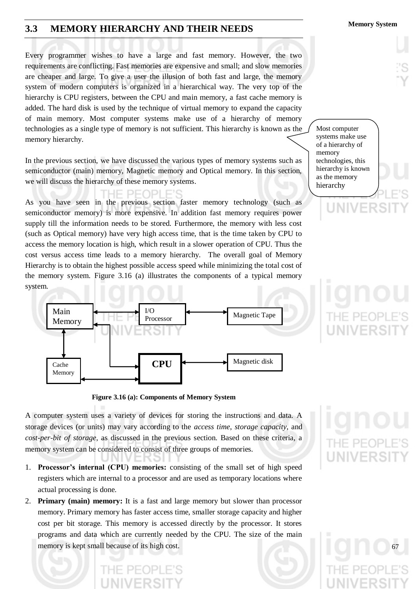### **Memory System 3.3 MEMORY HIERARCHY AND THEIR NEEDS**

Every programmer wishes to have a large and fast memory. However, the two requirements are conflicting. Fast memories are expensive and small; and slow memories are cheaper and large. To give a user the illusion of both fast and large, the memory system of modern computers is organized in a hierarchical way. The very top of the hierarchy is CPU registers, between the CPU and main memory, a fast cache memory is added. The hard disk is used by the technique of virtual memory to expand the capacity of main memory. Most computer systems make use of a hierarchy of memory technologies as a single type of memory is not sufficient. This hierarchy is known as the memory hierarchy.

In the previous section, we have discussed the various types of memory systems such as semiconductor (main) memory, Magnetic memory and Optical memory. In this section, we will discuss the hierarchy of these memory systems.

IF PFOPI As you have seen in the previous section faster memory technology (such as semiconductor memory) is more expensive. In addition fast memory requires power supply till the information needs to be stored. Furthermore, the memory with less cost (such as Optical memory) have very high access time, that is the time taken by CPU to access the memory location is high, which result in a slower operation of CPU. Thus the cost versus access time leads to a memory hierarchy. The overall goal of Memory Hierarchy is to obtain the highest possible access speed while minimizing the total cost of the memory system. Figure 3.16 (a) illustrates the components of a typical memory system.





A computer system uses a variety of devices for storing the instructions and data. A storage devices (or units) may vary according to the *access time*, *storage capacity*, and *cost-per-bit of storage*, as discussed in the previous section. Based on these criteria, a memory system can be considered to consist of three groups of memories.

- 1. **Processor's internal (CPU) memories:** consisting of the small set of high speed registers which are internal to a processor and are used as temporary locations where actual processing is done.
- 2. **Primary (main) memory:** It is a fast and large memory but slower than processor memory. Primary memory has faster access time, smaller storage capacity and higher cost per bit storage. This memory is accessed directly by the processor. It stores programs and data which are currently needed by the CPU. The size of the main memory is kept small because of its high cost.

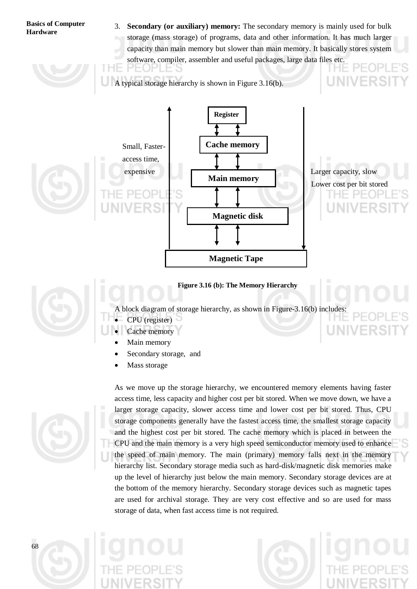3. **Secondary (or auxiliary) memory:** The secondary memory is mainly used for bulk storage (mass storage) of programs, data and other information. It has much larger capacity than main memory but slower than main memory. It basically stores system software, compiler, assembler and useful packages, large data files etc.

A typical storage hierarchy is shown in Figure 3.16(b).



#### **Figure 3.16 (b): The Memory Hierarchy**



- A block diagram of storage hierarchy, as shown in Figure-3.16(b) includes:
- CPU (register)
- Cache memory
- Main memory
- Secondary storage, and
- Mass storage



As we move up the storage hierarchy, we encountered memory elements having faster access time, less capacity and higher cost per bit stored. When we move down, we have a larger storage capacity, slower access time and lower cost per bit stored. Thus, CPU storage components generally have the fastest access time, the smallest storage capacity and the highest cost per bit stored. The cache memory which is placed in between the CPU and the main memory is a very high speed semiconductor memory used to enhance the speed of main memory. The main (primary) memory falls next in the memory hierarchy list. Secondary storage media such as hard-disk/magnetic disk memories make up the level of hierarchy just below the main memory. Secondary storage devices are at the bottom of the memory hierarchy. Secondary storage devices such as magnetic tapes are used for archival storage. They are very cost effective and so are used for mass storage of data, when fast access time is not required.

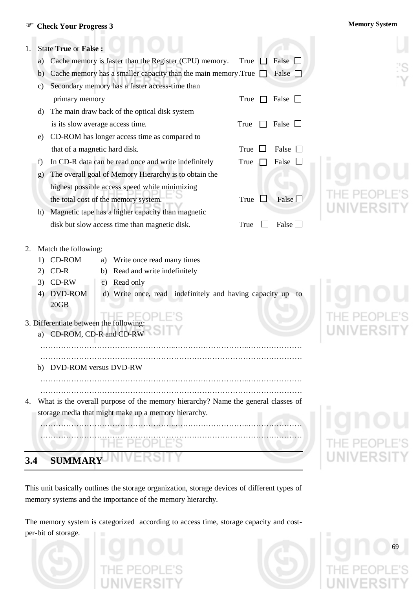### **Check Your Progress 3 Memory System**

| 1.  |                | <b>State True or False:</b>                                                                                                                                                                                                                                                                                     |  |
|-----|----------------|-----------------------------------------------------------------------------------------------------------------------------------------------------------------------------------------------------------------------------------------------------------------------------------------------------------------|--|
|     | a)             | Cache memory is faster than the Register (CPU) memory.<br>False $\square$<br>True                                                                                                                                                                                                                               |  |
|     | b)             | Cache memory has a smaller capacity than the main memory. True $\Box$<br>False $\Box$                                                                                                                                                                                                                           |  |
|     | C)             | Secondary memory has a faster access-time than                                                                                                                                                                                                                                                                  |  |
|     |                | primary memory<br>True<br>False $\Box$                                                                                                                                                                                                                                                                          |  |
|     | d)             | The main draw back of the optical disk system                                                                                                                                                                                                                                                                   |  |
|     |                | is its slow average access time.<br>False $\Box$<br>True                                                                                                                                                                                                                                                        |  |
|     | e)             | CD-ROM has longer access time as compared to                                                                                                                                                                                                                                                                    |  |
|     |                | that of a magnetic hard disk.<br>True<br>False                                                                                                                                                                                                                                                                  |  |
|     | f)             | In CD-R data can be read once and write indefinitely<br>False<br>True                                                                                                                                                                                                                                           |  |
|     | g)             | The overall goal of Memory Hierarchy is to obtain the                                                                                                                                                                                                                                                           |  |
|     |                | highest possible access speed while minimizing                                                                                                                                                                                                                                                                  |  |
|     |                | False $\square$<br>the total cost of the memory system.<br>True                                                                                                                                                                                                                                                 |  |
|     | h)             | Magnetic tape has a higher capacity than magnetic                                                                                                                                                                                                                                                               |  |
|     |                | False $\Box$<br>disk but slow access time than magnetic disk.<br>True                                                                                                                                                                                                                                           |  |
| 2.  | 21<br>3)<br>4) | Match the following:<br>CD-ROM<br>Write once read many times<br>a)<br>$CD-R$<br>Read and write indefinitely<br>b)<br>$CD-RW$<br>Read only<br>C)<br><b>DVD-ROM</b><br>d) Write once, read indefinitely and having capacity up to<br>20GB<br>3. Differentiate between the following:<br>a) CD-ROM, CD-R and CD-RW |  |
|     | b)             | DVD-ROM versus DVD-RW                                                                                                                                                                                                                                                                                           |  |
| 4.  |                | What is the overall purpose of the memory hierarchy? Name the general classes of                                                                                                                                                                                                                                |  |
|     |                | storage media that might make up a memory hierarchy.                                                                                                                                                                                                                                                            |  |
|     |                |                                                                                                                                                                                                                                                                                                                 |  |
|     |                | I HE PE                                                                                                                                                                                                                                                                                                         |  |
|     |                |                                                                                                                                                                                                                                                                                                                 |  |
| 3.4 |                | <b>SUMMARY</b>                                                                                                                                                                                                                                                                                                  |  |

This unit basically outlines the storage organization, storage devices of different types of memory systems and the importance of the memory hierarchy.

The memory system is categorized according to access time, storage capacity and costper-bit of storage.



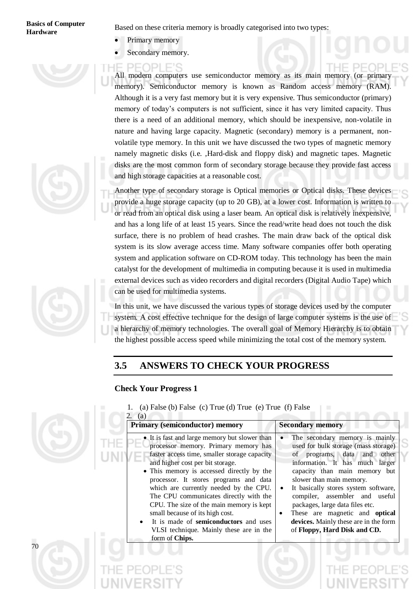# **Basics of Computer**

**Hardware** Based on these criteria memory is broadly categorised into two types:

- Primary memory
- Secondary memory.

All modern computers use semiconductor memory as its main memory (or primary memory). Semiconductor memory is known as Random access memory (RAM). Although it is a very fast memory but it is very expensive. Thus semiconductor (primary) memory of today"s computers is not sufficient, since it has very limited capacity. Thus there is a need of an additional memory, which should be inexpensive, non-volatile in nature and having large capacity. Magnetic (secondary) memory is a permanent, nonvolatile type memory. In this unit we have discussed the two types of magnetic memory namely magnetic disks (i.e. ,Hard-disk and floppy disk) and magnetic tapes. Magnetic disks are the most common form of secondary storage because they provide fast access and high storage capacities at a reasonable cost.

Another type of secondary storage is Optical memories or Optical disks. These devices provide a huge storage capacity (up to 20 GB), at a lower cost. Information is written to or read from an optical disk using a laser beam. An optical disk is relatively inexpensive, and has a long life of at least 15 years. Since the read/write head does not touch the disk surface, there is no problem of head crashes. The main draw back of the optical disk system is its slow average access time. Many software companies offer both operating system and application software on CD-ROM today. This technology has been the main catalyst for the development of multimedia in computing because it is used in multimedia external devices such as video recorders and digital recorders (Digital Audio Tape) which can be used for multimedia systems.

In this unit, we have discussed the various types of storage devices used by the computer system. A cost effective technique for the design of large computer systems is the use of a hierarchy of memory technologies. The overall goal of Memory Hierarchy is to obtain the highest possible access speed while minimizing the total cost of the memory system.

### **3.5 ANSWERS TO CHECK YOUR PROGRESS**

1. (a) False (b) False (c) True (d) True (e) True (f) False

### **Check Your Progress 1**



 2. (a) **Primary (semiconductor) memory <br> Secondary memory** • It is fast and large memory but slower than processor memory. Primary memory has faster access time, smaller storage capacity and higher cost per bit storage. • This memory is accessed directly by the processor. It stores programs and data which are currently needed by the CPU. The CPU communicates directly with the CPU. The size of the main memory is kept small because of its high cost. It is made of **semiconductors** and uses VLSI technique. Mainly these are in the form of **Chips.** The secondary memory is mainly used for bulk storage (mass storage) of programs, data and other information. It has much larger capacity than main memory but slower than main memory. It basically stores system software, compiler, assembler and useful packages, large data files etc. These are magnetic and **optical devices.** Mainly these are in the form of **Floppy, Hard Disk and CD.**









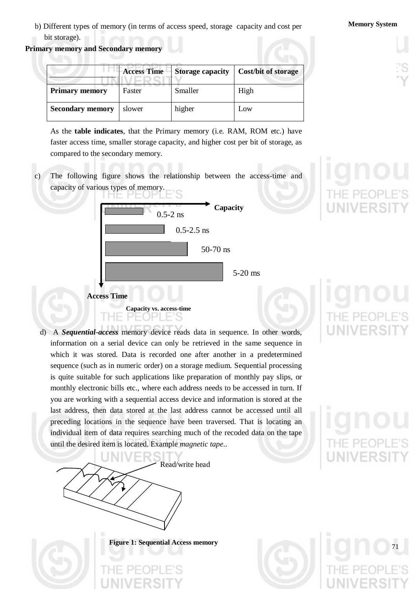b) Different types of memory (in terms of access speed, storage capacity and cost per **Memory System** bit storage).

**Primary memory and Secondary memory**

|                         | <b>Access Time</b> | <b>Storage capacity</b> | Cost/bit of storage |
|-------------------------|--------------------|-------------------------|---------------------|
| <b>Primary memory</b>   | Faster             | Smaller                 | High                |
| <b>Secondary memory</b> | slower             | higher                  | Low                 |

As the **table indicates**, that the Primary memory (i.e. RAM, ROM etc.) have faster access time, smaller storage capacity, and higher cost per bit of storage, as compared to the secondary memory.

c) The following figure shows the relationship between the access-time and capacity of various types of memory.



d) A *Sequential-access* memory device reads data in sequence. In other words, information on a serial device can only be retrieved in the same sequence in which it was stored. Data is recorded one after another in a predetermined sequence (such as in numeric order) on a storage medium. Sequential processing is quite suitable for such applications like preparation of monthly pay slips, or monthly electronic bills etc., where each address needs to be accessed in turn. If you are working with a sequential access device and information is stored at the last address, then data stored at the last address cannot be accessed until all preceding locations in the sequence have been traversed. That is locating an individual item of data requires searching much of the recoded data on the tape until the desired item is located. Example *magnetic tape*..



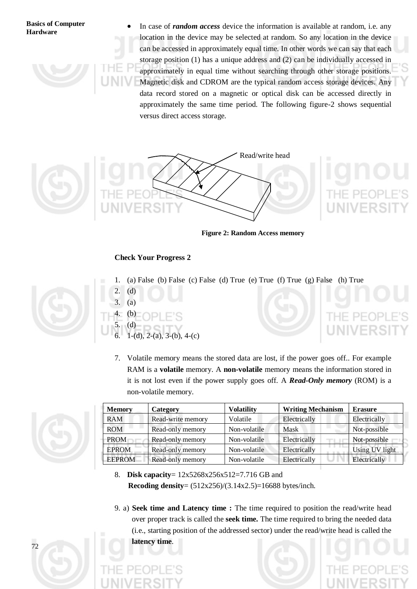In case of *random access* device the information is available at random, i.e. any location in the device may be selected at random. So any location in the device can be accessed in approximately equal time. In other words we can say that each storage position (1) has a unique address and (2) can be individually accessed in approximately in equal time without searching through other storage positions. Magnetic disk and CDROM are the typical random access storage devices. Any data record stored on a magnetic or optical disk can be accessed directly in approximately the same time period. The following figure-2 shows sequential versus direct access storage.



**Figure 2: Random Access memory**

#### **Check Your Progress 2**

1. (a) False (b) False (c) False (d) True (e) True (f) True (g) False (h) True



- 2. (d) 3. (a) 4. (b) 5. (d) 1-(d), 2-(a), 3-(b), 4-(c)
	- 7. Volatile memory means the stored data are lost, if the power goes off.. For example RAM is a **volatile** memory. A **non-volatile** memory means the information stored in it is not lost even if the power supply goes off. A *Read-Only memory* (ROM) is a non-volatile memory.



| <b>Memory</b> | Category          | <b>Volatility</b> | <b>Writing Mechanism</b> | <b>Erasure</b> |
|---------------|-------------------|-------------------|--------------------------|----------------|
| <b>RAM</b>    | Read-write memory | Volatile          | Electrically             | Electrically   |
| <b>ROM</b>    | Read-only memory  | Non-volatile      | Mask                     | Not-possible   |
| <b>PROM</b>   | Read-only memory  | Non-volatile      | Electrically             | Not-possible   |
| <b>EPROM</b>  | Read-only memory  | Non-volatile      | Electrically             | Using UV light |
| <b>EEPROM</b> | Read-only memory  | Non-volatile      | Electrically             | Electrically   |

- 8. **Disk capacity**= 12x5268x256x512=7.716 GB and **Recoding density**= (512x256)/(3.14x2.5)=16688 bytes/inch.
- 9. a) **Seek time and Latency time :** The time required to position the read/write head over proper track is called the **seek time.** The time required to bring the needed data (i.e., starting position of the addressed sector) under the read/write head is called the **latency time**.

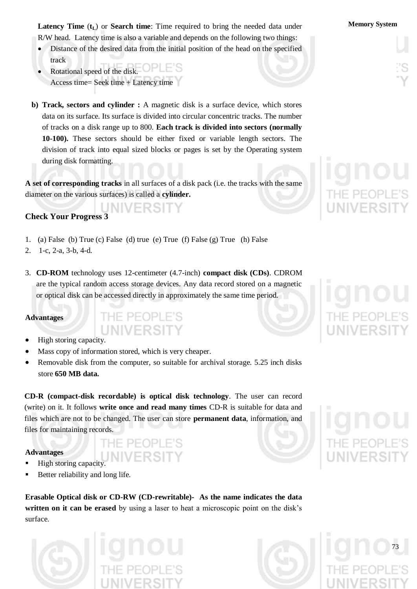**Latency Time** ( $t_L$ ) or **Search time**: Time required to bring the needed data under **Memory System** R/W head. Latency time is also a variable and depends on the following two things:

- Distance of the desired data from the initial position of the head on the specified track
- Rotational speed of the disk. Access time= Seek time + Latency time
- **b) Track, sectors and cylinder :** A magnetic disk is a surface device, which stores data on its surface. Its surface is divided into circular concentric tracks. The number of tracks on a disk range up to 800. **Each track is divided into sectors (normally 10-100).** These sectors should be either fixed or variable length sectors. The division of track into equal sized blocks or pages is set by the Operating system during disk formatting.

**A set of corresponding tracks** in all surfaces of a disk pack (i.e. the tracks with the same diameter on the various surfaces) is called a **cylinder.**

### **Check Your Progress 3**

1. (a) False (b) True (c) False (d) true (e) True (f) False (g) True (h) False

THE PEOPLE'S

- 2. 1-c, 2-a, 3-b, 4-d.
- 3. **CD-ROM** technology uses 12-centimeter (4.7-inch) **compact disk (CDs)**. CDROM are the typical random access storage devices. Any data record stored on a magnetic or optical disk can be accessed directly in approximately the same time period.

### **Advantages**

- High storing capacity.
- Mass copy of information stored, which is very cheaper.
- Removable disk from the computer, so suitable for archival storage. 5.25 inch disks store **650 MB data.**

**CD-R (compact-disk recordable) is optical disk technology**. The user can record (write) on it. It follows **write once and read many times** CD-R is suitable for data and files which are not to be changed. The user can store **permanent data**, information, and files for maintaining records.

IF PFOPLE'S

#### **Advantages**

- High storing capacity.
- Better reliability and long life.

**Erasable Optical disk or CD-RW (CD-rewritable)- As the name indicates the data**  written on it can be erased by using a laser to heat a microscopic point on the disk's surface.



| THE PEOPLE'S |  |  |  |
|--------------|--|--|--|
|              |  |  |  |